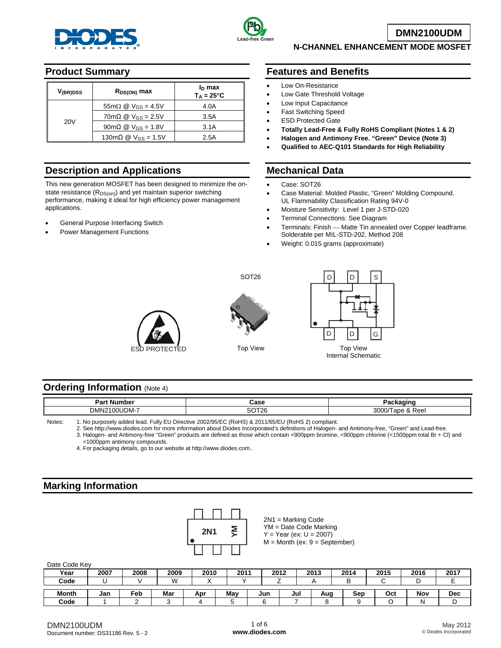



**DMN2100UDM**

### **N-CHANNEL ENHANCEMENT MODE MOSFET**

## **Product Summary**

| V <sub>(BR)DSS</sub> | $R_{DS(ON)}$ max                                                    | In max<br>$T_A = 25^{\circ}C$ |
|----------------------|---------------------------------------------------------------------|-------------------------------|
|                      | $55m\Omega \otimes V_{GS} = 4.5V$                                   | 4.0A                          |
| 20 <sub>V</sub>      | $70 \text{m}\Omega \text{ } \textcircled{}$ V <sub>GS</sub> = 2.5V  | 3.5A                          |
|                      | $90 \text{m}\Omega \text{ } \textcircled{2}$ V <sub>GS</sub> = 1.8V | 3.1A                          |
|                      | 130m $\Omega$ @ V <sub>GS</sub> = 1.5V                              | 2.5A                          |

# **Description and Applications**

This new generation MOSFET has been designed to minimize the onstate resistance (R<sub>DS(on)</sub>) and yet maintain superior switching performance, making it ideal for high efficiency power management applications.

- General Purpose Interfacing Switch
- Power Management Functions

## **Features and Benefits**

- Low On-Resistance
- Low Gate Threshold Voltage
- Low Input Capacitance
- Fast Switching Speed
- **ESD Protected Gate**
- **Totally Lead-Free & Fully RoHS Compliant (Notes 1 & 2)**
- **Halogen and Antimony Free. "Green" Device (Note 3)**
- **Qualified to AEC-Q101 Standards for High Reliability**

## **Mechanical Data**

- Case: SOT26
- Case Material: Molded Plastic, "Green" Molding Compound. UL Flammability Classification Rating 94V-0
- Moisture Sensitivity: Level 1 per J-STD-020
- Terminal Connections: See Diagram
- Terminals: Finish Matte Tin annealed over Copper leadframe. Solderable per MIL-STD-202, Method 208
- Weight: 0.015 grams (approximate)





SOT26



#### **Ordering Information (Note 4)**

| . Number<br>יar.         | `^^^<br>udst                     | . .<br>ма                                              |
|--------------------------|----------------------------------|--------------------------------------------------------|
| $2100$ UDM-<br>-<br>DMN. | no-<br>$T^{\prime}$<br>ou<br>ا د | 3000<br>Reel<br>ape<br>. .<br>$\overline{\phantom{a}}$ |

Notes: 1. No purposely added lead. Fully EU Directive 2002/95/EC (RoHS) & 2011/65/EU (RoHS 2) compliant.

2. See [http://www.diodes.com fo](http://www.diodes.com)r more information about Diodes Incorporated's definitions of Halogen- and Antimony-free, "Green" and Lead-free.

3. Halogen- and Antimony-free "Green" products are defined as those which contain <900ppm bromine, <900ppm chlorine (<1500ppm total Br + Cl) and <1000ppm antimony compounds.

4. For packaging details, go to our website at <http://www.diodes.com>..

## **Marking Information**



| <b>Dail OUGO ITCY</b> |      |      |      |      |      |     |      |      |      |      |      |            |
|-----------------------|------|------|------|------|------|-----|------|------|------|------|------|------------|
| Year                  | 2007 | 2008 | 2009 | 2010 | 2011 |     | 2012 | 2013 | 2014 | 2015 | 2016 | 2017       |
| Code                  |      |      | W    |      |      |     |      |      |      |      |      |            |
|                       |      |      |      |      |      |     |      |      |      |      |      |            |
| <b>Month</b>          | Jan  | ™eb  | Mar  | Apr  | Mav  | Jun | Jul  | Aug  | Sep  | Oct  | Nov  | <b>Dec</b> |
| Code                  |      |      |      |      |      |     |      |      |      |      | N    |            |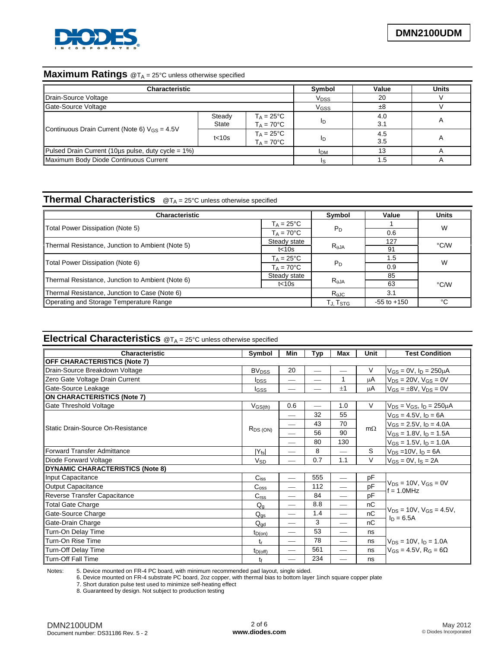

# **Maximum Ratings** @T<sub>A</sub> = 25°C unless otherwise specified

| <b>Characteristic</b>                                    | <b>Symbol</b>                               | Value                                      | <b>Units</b> |            |  |  |
|----------------------------------------------------------|---------------------------------------------|--------------------------------------------|--------------|------------|--|--|
| Drain-Source Voltage                                     | V <sub>DSS</sub>                            | 20                                         |              |            |  |  |
| Gate-Source Voltage                                      | V <sub>GSS</sub>                            | ±8                                         |              |            |  |  |
|                                                          | Steady<br>State                             | $T_A = 25^{\circ}C$<br>$T_A = 70^{\circ}C$ | ΙD           | 4.0<br>3.1 |  |  |
| Continuous Drain Current (Note 6) $V_{GS} = 4.5V$        | $T_A = 25^{\circ}C$<br>$T_A = 70^{\circ}$ C | ID                                         | 4.5<br>3.5   |            |  |  |
| Pulsed Drain Current (10 $\mu$ s pulse, duty cycle = 1%) | <b>IDM</b>                                  | 13                                         |              |            |  |  |
| Maximum Body Diode Continuous Current                    |                                             |                                            |              |            |  |  |

# **Thermal Characteristics** @T<sub>A</sub> = 25°C unless otherwise specified

| <b>Characteristic</b>                            | Symbol                   | Value           | <b>Units</b> |      |  |
|--------------------------------------------------|--------------------------|-----------------|--------------|------|--|
|                                                  | $T_A = 25^{\circ}C$      |                 |              | W    |  |
| Total Power Dissipation (Note 5)                 | $T_A = 70^{\circ}C$      | $P_D$           | 0.6          |      |  |
| Thermal Resistance, Junction to Ambient (Note 5) | Steady state             |                 | 127          | °C/W |  |
|                                                  | t<10s                    | $R_{\theta$ JA  | 91           |      |  |
|                                                  | $T_A = 25^{\circ}C$      |                 | 1.5          | W    |  |
| Total Power Dissipation (Note 6)                 | $T_A = 70^{\circ}$ C     | P <sub>D</sub>  | 0.9          |      |  |
|                                                  | Steady state             |                 | 85           | °C/W |  |
| Thermal Resistance, Junction to Ambient (Note 6) | t<10s                    | $R_{\theta}$ JA | 63           |      |  |
| Thermal Resistance, Junction to Case (Note 6)    | $\mathsf{R}_{\theta}$ JC | 3.1             |              |      |  |
| Operating and Storage Temperature Range          | Tj, Tstg                 | $-55$ to $+150$ | °C           |      |  |

# **Electrical Characteristics** @T<sub>A</sub> = 25°C unless otherwise specified

| <b>Characteristic</b>                   | Symbol                             | Min                      | <b>Typ</b>               | Max                      | Unit      | <b>Test Condition</b>                           |  |
|-----------------------------------------|------------------------------------|--------------------------|--------------------------|--------------------------|-----------|-------------------------------------------------|--|
| <b>OFF CHARACTERISTICS (Note 7)</b>     |                                    |                          |                          |                          |           |                                                 |  |
| Drain-Source Breakdown Voltage          | <b>BV<sub>DSS</sub></b>            | 20                       | $\overline{\phantom{0}}$ | $\overline{\phantom{0}}$ | V         | $V_{GS} = 0V$ , $I_D = 250 \mu A$               |  |
| Zero Gate Voltage Drain Current         | <b>I</b> <sub>DSS</sub>            | $\overline{\phantom{0}}$ |                          | 1                        | μA        | $V_{DS} = 20V, V_{GS} = 0V$                     |  |
| Gate-Source Leakage                     | <b>I</b> GSS                       |                          |                          | $+1$                     | μA        | $V_{GS} = \pm 8V$ , $V_{DS} = 0V$               |  |
| <b>ON CHARACTERISTICS (Note 7)</b>      |                                    |                          |                          |                          |           |                                                 |  |
| Gate Threshold Voltage                  | $V$ <sub>GS<math>(th)</math></sub> | 0.6                      |                          | 1.0                      | $\vee$    | $V_{DS}$ = $V_{GS}$ , $I_D$ = 250 $\mu$ A       |  |
|                                         |                                    |                          | 32                       | 55                       |           | $V_{GS} = 4.5V$ , $I_D = 6A$                    |  |
| Static Drain-Source On-Resistance       |                                    |                          | 43                       | 70                       |           | $V_{GS} = 2.5V$ , $I_D = 4.0A$                  |  |
|                                         | $R_{DS(ON)}$                       |                          | 56                       | 90                       | $m\Omega$ | $V_{GS} = 1.8 V$ , $I_D = 1.5 A$                |  |
|                                         |                                    |                          | 80                       | 130                      |           | $V_{GS} = 1.5V$ , $I_D = 1.0A$                  |  |
| <b>Forward Transfer Admittance</b>      | $ Y_{fs} $                         |                          | 8                        |                          | S         | $V_{DS}$ = 10V, $I_D$ = 6A                      |  |
| Diode Forward Voltage                   | Vsp                                |                          | 0.7                      | 1.1                      | $\vee$    | $V_{GS} = 0V$ , $I_S = 2A$                      |  |
| <b>DYNAMIC CHARACTERISTICS (Note 8)</b> |                                    |                          |                          |                          |           |                                                 |  |
| Input Capacitance                       | $C_{iss}$                          | $\qquad \qquad$          | 555                      | $\qquad \qquad$          | pF        |                                                 |  |
| <b>Output Capacitance</b>               | C <sub>oss</sub>                   |                          | 112                      |                          | pF        | $V_{DS} = 10V$ , $V_{GS} = 0V$<br>$f = 1.0$ MHz |  |
| Reverse Transfer Capacitance            | C <sub>rss</sub>                   | $\overline{\phantom{0}}$ | 84                       | $\overline{\phantom{0}}$ | pF        |                                                 |  |
| <b>Total Gate Charge</b>                | $Q_{\alpha}$                       | $\overline{\phantom{0}}$ | 8.8                      |                          | nC        |                                                 |  |
| Gate-Source Charge                      | $Q_{\text{qs}}$                    |                          | 1.4                      | $\overline{\phantom{0}}$ | nC        | $V_{DS}$ = 10V, $V_{GS}$ = 4.5V,                |  |
| Gate-Drain Charge                       | $\mathsf{Q}_{\text{gd}}$           |                          | 3                        | $\overline{\phantom{0}}$ | nC        | $I_D = 6.5A$                                    |  |
| Turn-On Delay Time                      | $t_{D(0n)}$                        |                          | 53                       |                          | ns        |                                                 |  |
| Turn-On Rise Time                       |                                    | __                       | 78                       |                          | ns        | $V_{DS}$ = 10V, $I_D$ = 1.0A                    |  |
| Turn-Off Delay Time                     | $t_{D(off)}$                       |                          | 561                      |                          | ns        | $V_{GS} = 4.5V$ , R <sub>G</sub> = 6 $\Omega$   |  |
| Turn-Off Fall Time                      |                                    |                          | 234                      |                          | ns        |                                                 |  |

Notes: 5. Device mounted on FR-4 PC board, with minimum recommended pad layout, single sided.

6. Device mounted on FR-4 substrate PC board, 2oz copper, with thermal bias to bottom layer 1inch square copper plate

7. Short duration pulse test used to minimize self-heating effect 8. Guaranteed by design. Not subject to production testing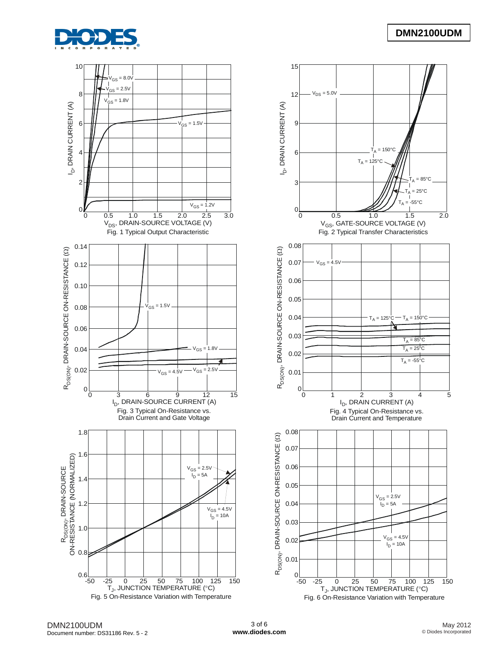



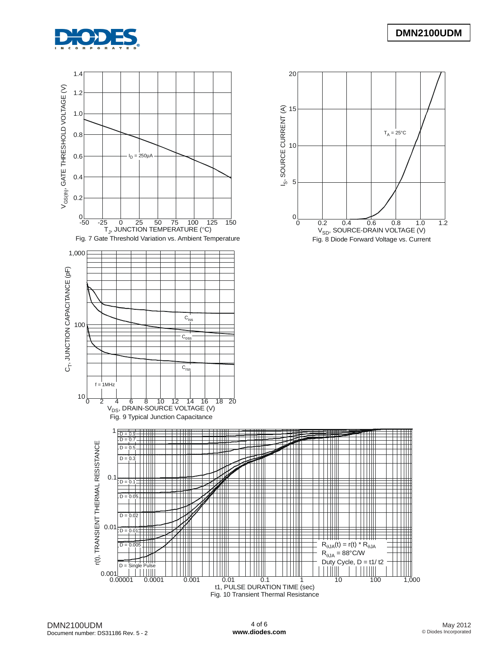

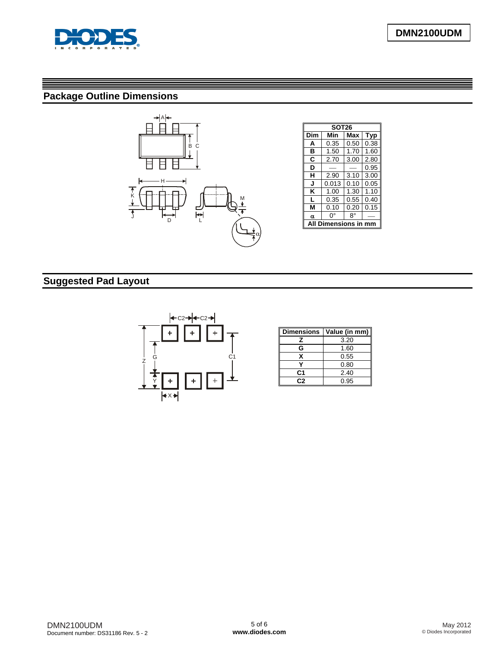

# **Package Outline Dimensions**



| <b>SOT26</b> |       |      |      |  |  |  |  |
|--------------|-------|------|------|--|--|--|--|
| Dim          | Min   | Max  | Typ  |  |  |  |  |
| A            | 0.35  | 0.50 | 0.38 |  |  |  |  |
| в            | 1.50  | 1.70 | 1.60 |  |  |  |  |
| C            | 2.70  | 3.00 | 2.80 |  |  |  |  |
| D            |       |      | 0.95 |  |  |  |  |
| н            | 2.90  | 3.10 | 3.00 |  |  |  |  |
| J            | 0.013 | 0.10 | 0.05 |  |  |  |  |
| κ            | 1.00  | 1.30 | 1.10 |  |  |  |  |
| L            | 0.35  | 0.55 | 0.40 |  |  |  |  |
| М            | 0.10  | 0.20 | 0.15 |  |  |  |  |
| α            | 0°    | 8°   |      |  |  |  |  |
| ensions      |       |      |      |  |  |  |  |

# **Suggested Pad Layout**



| <b>Dimensions</b> | Value (in mm) |
|-------------------|---------------|
| z                 | 3.20          |
| G                 | 1.60          |
| x                 | 0.55          |
|                   | 0.80          |
| C1                | 2.40          |
| r. 2              | 0.95          |